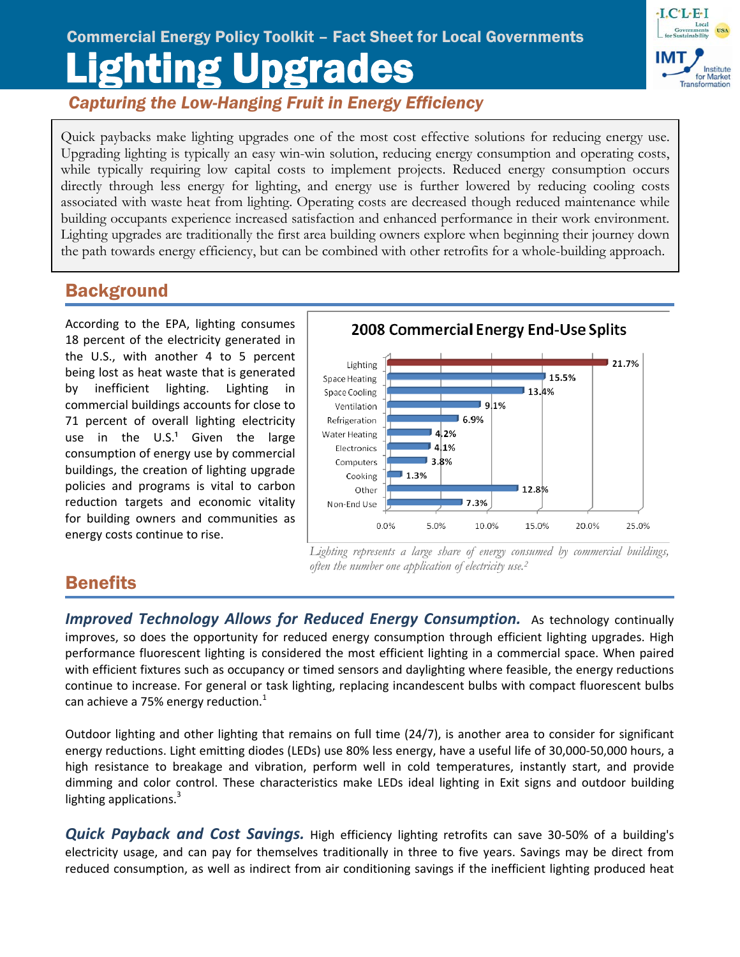# Lighting Upgrades Commercial Energy Policy Toolkit – Fact Sheet for Local Governments



*Capturing the Low-Hanging Fruit in Energy Efficiency*

Quick paybacks make lighting upgrades one of the most cost effective solutions for reducing energy use. Upgrading lighting is typically an easy win-win solution, reducing energy consumption and operating costs, while typically requiring low capital costs to implement projects. Reduced energy consumption occurs directly through less energy for lighting, and energy use is further lowered by reducing cooling costs associated with waste heat from lighting. Operating costs are decreased though reduced maintenance while building occupants experience increased satisfaction and enhanced performance in their work environment. Lighting upgrades are traditionally the first area building owners explore when beginning their journey down the path towards energy efficiency, but can be combined with other retrofits for a whole-building approach.

# **Background**

Ī

According to the EPA, lighting consumes 18 percent of the electricity generated in the U.S., with another 4 to 5 percent being lost as heat waste that is generated by inefficient lighting. Lighting in commercial buildings accounts for close to 71 percent of overall lighting electricity use in the  $U.S.<sup>1</sup>$  Given the large consumption of energy use by commercial buildings, the creation of lighting upgrade policies and programs is vital to carbon reduction targets and economic vitality for building owners and communities as energy costs continue to rise.



Lighting represents a large share of energy consumed by commercial buildings, *often the number one application of electricity use.2*

# **Benefits**

*Improved Technology Allows for Reduced Energy Consumption.* As technology continually improves, so does the opportunity for reduced energy consumption through efficient lighting upgrades. High performance fluorescent lighting is considered the most efficient lighting in a commercial space. When paired with efficient fixtures such as occupancy or timed sensors and daylighting where feasible, the energy reductions continue to increase. For general or task lighting, replacing incandescent bulbs with compact fluorescent bulbs can achieve a 75% energy reduction. $1$ 

Outdoor lighting and other lighting that remains on full time (24/7), is another area to consider for significant energy reductions. Light emitting diodes (LEDs) use 80% less energy, have a useful life of 30,000‐50,000 hours, a high resistance to breakage and vibration, perform well in cold temperatures, instantly start, and provide dimming and color control. These characteristics make LEDs ideal lighting in Exit signs and outdoor building lighting applications. $3$ 

*Quick Payback and Cost Savings.* High efficiency lighting retrofits can save 30‐50% of a building's electricity usage, and can pay for themselves traditionally in three to five years. Savings may be direct from reduced consumption, as well as indirect from air conditioning savings if the inefficient lighting produced heat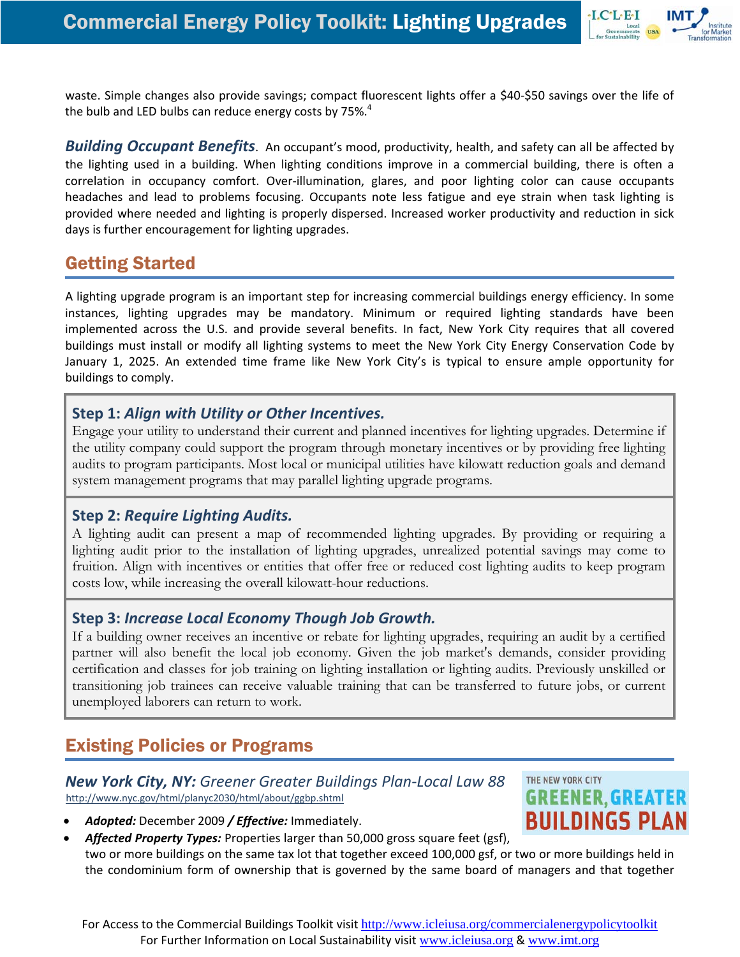

waste. Simple changes also provide savings; compact fluorescent lights offer a \$40‐\$50 savings over the life of the bulb and LED bulbs can reduce energy costs by 75%. $4$ 

*Building Occupant Benefits*. An occupant's mood, productivity, health, and safety can all be affected by the lighting used in a building. When lighting conditions improve in a commercial building, there is often a correlation in occupancy comfort. Over‐illumination, glares, and poor lighting color can cause occupants headaches and lead to problems focusing. Occupants note less fatigue and eye strain when task lighting is provided where needed and lighting is properly dispersed. Increased worker productivity and reduction in sick days is further encouragement for lighting upgrades.

# Getting Started

A lighting upgrade program is an important step for increasing commercial buildings energy efficiency. In some instances, lighting upgrades may be mandatory. Minimum or required lighting standards have been implemented across the U.S. and provide several benefits. In fact, New York City requires that all covered buildings must install or modify all lighting systems to meet the New York City Energy Conservation Code by January 1, 2025. An extended time frame like New York City's is typical to ensure ample opportunity for buildings to comply.

### **Step 1:** *Align with Utility or Other Incentives.*

Engage your utility to understand their current and planned incentives for lighting upgrades. Determine if the utility company could support the program through monetary incentives or by providing free lighting audits to program participants. Most local or municipal utilities have kilowatt reduction goals and demand system management programs that may parallel lighting upgrade programs.

### **Step 2:** *Require Lighting Audits.*

A lighting audit can present a map of recommended lighting upgrades. By providing or requiring a lighting audit prior to the installation of lighting upgrades, unrealized potential savings may come to fruition. Align with incentives or entities that offer free or reduced cost lighting audits to keep program costs low, while increasing the overall kilowatt-hour reductions.

### **Step 3:** *Increase Local Economy Though Job Growth.*

If a building owner receives an incentive or rebate for lighting upgrades, requiring an audit by a certified partner will also benefit the local job economy. Given the job market's demands, consider providing certification and classes for job training on lighting installation or lighting audits. Previously unskilled or transitioning job trainees can receive valuable training that can be transferred to future jobs, or current unemployed laborers can return to work.

# Existing Policies or Programs

#### *New York City, NY: Greener Greater Buildings Plan‐Local Law 88*  <http://www.nyc.gov/html/planyc2030/html/about/ggbp.shtml>



- *Adopted:* December 2009 */ Effective:* Immediately.
- *Affected Property Types:* Properties larger than 50,000 gross square feet (gsf), two or more buildings on the same tax lot that together exceed 100,000 gsf, or two or more buildings held in the condominium form of ownership that is governed by the same board of managers and that together

For Access to the Commercial Buildings Toolkit visit http://www.icleiusa.org/commercialenergypolicytoolkit For Further Information on Local Sustainability visit www.icleiusa.org & www.imt.org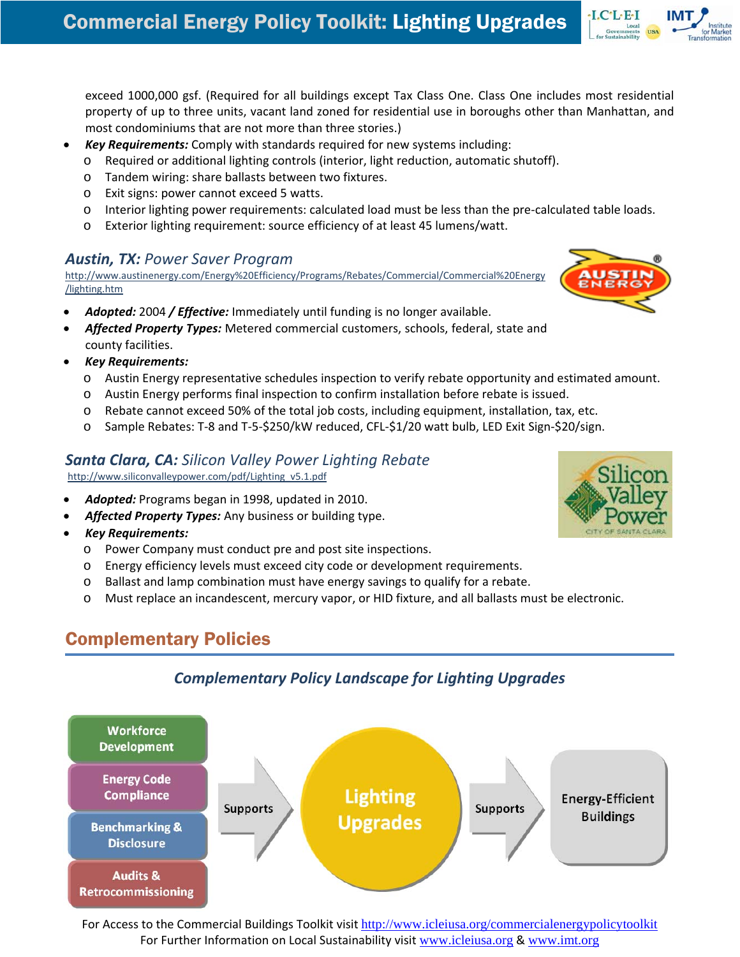exceed 1000,000 gsf. (Required for all buildings except Tax Class One. Class One includes most residential property of up to three units, vacant land zoned for residential use in boroughs other than Manhattan, and most condominiums that are not more than three stories.)

- *Key Requirements:* Comply with standards required for new systems including:
	- o Required or additional lighting controls (interior, light reduction, automatic shutoff).
	- o Tandem wiring: share ballasts between two fixtures.
	- o Exit signs: power cannot exceed 5 watts.
	- o Interior lighting power requirements: calculated load must be less than the pre‐calculated table loads.
	- o Exterior lighting requirement: source efficiency of at least 45 lumens/watt.

#### *Austin, TX: Power Saver Program*

[http://www.austinenergy.com/Energy%20Efficiency/Programs/Rebates/Commercial/Commercial%20Energy](http://www.austinenergy.com/Energy%20Efficiency/Programs/Rebates/Commercial/Commercial%20Energy/lighting.htm) [/lighting.htm](http://www.austinenergy.com/Energy%20Efficiency/Programs/Rebates/Commercial/Commercial%20Energy/lighting.htm)

- *Adopted:* 2004 */ Effective:* Immediately until funding is no longer available.
- *Affected Property Types:* Metered commercial customers, schools, federal, state and county facilities.
- *Key Requirements:*
	- o Austin Energy representative schedules inspection to verify rebate opportunity and estimated amount.
	- o Austin Energy performs final inspection to confirm installation before rebate is issued.
	- o Rebate cannot exceed 50% of the total job costs, including equipment, installation, tax, etc.
	- o Sample Rebates: T‐8 and T‐5‐\$250/kW reduced, CFL‐\$1/20 watt bulb, LED Exit Sign‐\$20/sign.

#### *Santa Clara, CA: Silicon Valley Power Lighting Rebate*

[http://www.siliconvalleypower.com/pdf/Lighting\\_v5.1.pdf](http://www.siliconvalleypower.com/pdf/Lighting_v5.1.pdf)

- *Adopted:* Programs began in 1998, updated in 2010.
- *Affected Property Types:* Any business or building type.
- *Key Requirements:*
	- o Power Company must conduct pre and post site inspections.
	- o Energy efficiency levels must exceed city code or development requirements.
	- o Ballast and lamp combination must have energy savings to qualify for a rebate.
	- o Must replace an incandescent, mercury vapor, or HID fixture, and all ballasts must be electronic.

# Complementary Policies



### *Complementary Policy Landscape for Lighting Upgrades*